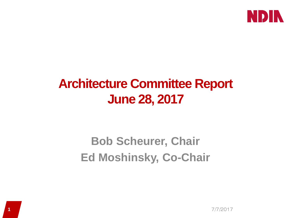

## **Architecture Committee Report June 28, 2017**

## **Bob Scheurer, Chair Ed Moshinsky, Co-Chair**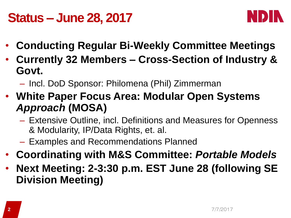## **Status – June 28, 2017**



- **Conducting Regular Bi-Weekly Committee Meetings**
- **Currently 32 Members – Cross-Section of Industry & Govt.**
	- Incl. DoD Sponsor: Philomena (Phil) Zimmerman
- **White Paper Focus Area: Modular Open Systems**  *Approach* **(MOSA)**
	- Extensive Outline, incl. Definitions and Measures for Openness & Modularity, IP/Data Rights, et. al.
	- Examples and Recommendations Planned
- **Coordinating with M&S Committee:** *Portable Models*
- **Next Meeting: 2-3:30 p.m. EST June 28 (following SE Division Meeting)**